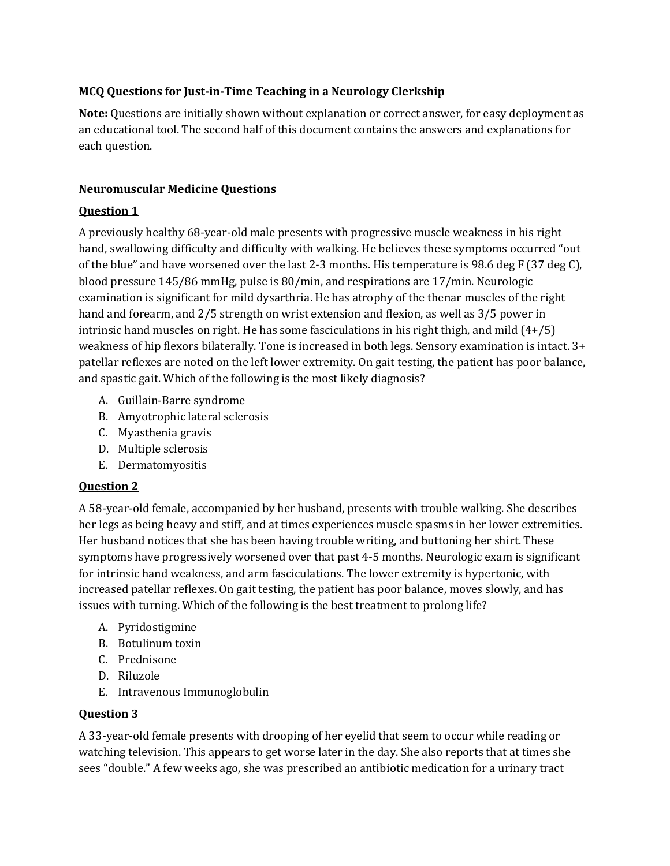## **MCQ Questions for Just-in-Time Teaching in a Neurology Clerkship**

**Note:** Questions are initially shown without explanation or correct answer, for easy deployment as an educational tool. The second half of this document contains the answers and explanations for each question.

## **Neuromuscular Medicine Questions**

## **Question 1**

A previously healthy 68-year-old male presents with progressive muscle weakness in his right hand, swallowing difficulty and difficulty with walking. He believes these symptoms occurred "out of the blue" and have worsened over the last 2-3 months. His temperature is 98.6 deg F (37 deg C), blood pressure 145/86 mmHg, pulse is 80/min, and respirations are 17/min. Neurologic examination is significant for mild dysarthria. He has atrophy of the thenar muscles of the right hand and forearm, and 2/5 strength on wrist extension and flexion, as well as 3/5 power in intrinsic hand muscles on right. He has some fasciculations in his right thigh, and mild (4+/5) weakness of hip flexors bilaterally. Tone is increased in both legs. Sensory examination is intact. 3+ patellar reflexes are noted on the left lower extremity. On gait testing, the patient has poor balance, and spastic gait. Which of the following is the most likely diagnosis?

- A. Guillain-Barre syndrome
- B. Amyotrophic lateral sclerosis
- C. Myasthenia gravis
- D. Multiple sclerosis
- E. Dermatomyositis

# **Question 2**

A 58-year-old female, accompanied by her husband, presents with trouble walking. She describes her legs as being heavy and stiff, and at times experiences muscle spasms in her lower extremities. Her husband notices that she has been having trouble writing, and buttoning her shirt. These symptoms have progressively worsened over that past 4-5 months. Neurologic exam is significant for intrinsic hand weakness, and arm fasciculations. The lower extremity is hypertonic, with increased patellar reflexes. On gait testing, the patient has poor balance, moves slowly, and has issues with turning. Which of the following is the best treatment to prolong life?

- A. Pyridostigmine
- B. Botulinum toxin
- C. Prednisone
- D. Riluzole
- E. Intravenous Immunoglobulin

## **Question 3**

A 33-year-old female presents with drooping of her eyelid that seem to occur while reading or watching television. This appears to get worse later in the day. She also reports that at times she sees "double." A few weeks ago, she was prescribed an antibiotic medication for a urinary tract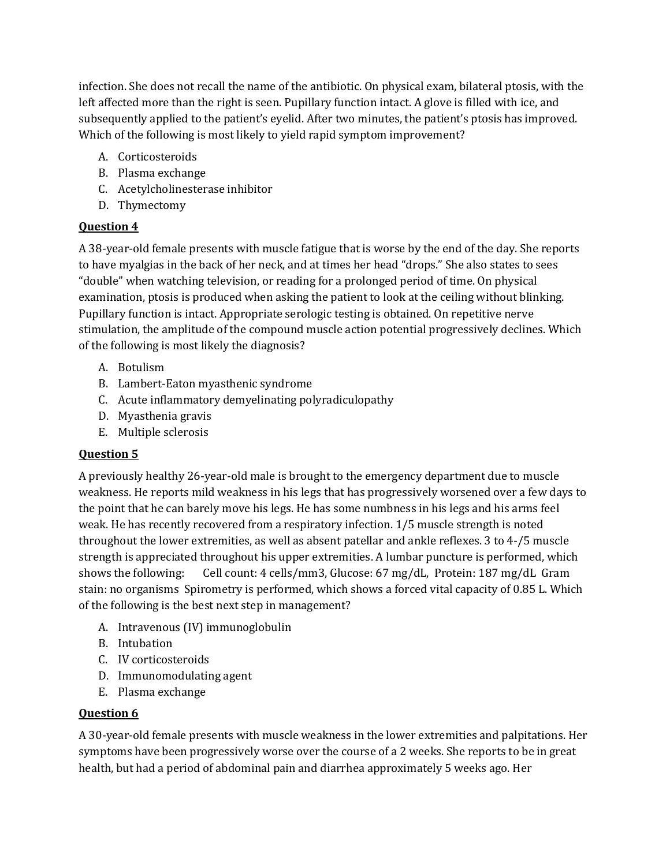infection. She does not recall the name of the antibiotic. On physical exam, bilateral ptosis, with the left affected more than the right is seen. Pupillary function intact. A glove is filled with ice, and subsequently applied to the patient's eyelid. After two minutes, the patient's ptosis has improved. Which of the following is most likely to yield rapid symptom improvement?

- A. Corticosteroids
- B. Plasma exchange
- C. Acetylcholinesterase inhibitor
- D. Thymectomy

# **Question 4**

A 38-year-old female presents with muscle fatigue that is worse by the end of the day. She reports to have myalgias in the back of her neck, and at times her head "drops." She also states to sees "double" when watching television, or reading for a prolonged period of time. On physical examination, ptosis is produced when asking the patient to look at the ceiling without blinking. Pupillary function is intact. Appropriate serologic testing is obtained. On repetitive nerve stimulation, the amplitude of the compound muscle action potential progressively declines. Which of the following is most likely the diagnosis?

- A. Botulism
- B. Lambert-Eaton myasthenic syndrome
- C. Acute inflammatory demyelinating polyradiculopathy
- D. Myasthenia gravis
- E. Multiple sclerosis

# **Question 5**

A previously healthy 26-year-old male is brought to the emergency department due to muscle weakness. He reports mild weakness in his legs that has progressively worsened over a few days to the point that he can barely move his legs. He has some numbness in his legs and his arms feel weak. He has recently recovered from a respiratory infection. 1/5 muscle strength is noted throughout the lower extremities, as well as absent patellar and ankle reflexes. 3 to 4-/5 muscle strength is appreciated throughout his upper extremities. A lumbar puncture is performed, which shows the following: Cell count: 4 cells/mm3, Glucose: 67 mg/dL, Protein: 187 mg/dL Gram stain: no organisms Spirometry is performed, which shows a forced vital capacity of 0.85 L. Which of the following is the best next step in management?

- A. Intravenous (IV) immunoglobulin
- B. Intubation
- C. IV corticosteroids
- D. Immunomodulating agent
- E. Plasma exchange

# **Question 6**

A 30-year-old female presents with muscle weakness in the lower extremities and palpitations. Her symptoms have been progressively worse over the course of a 2 weeks. She reports to be in great health, but had a period of abdominal pain and diarrhea approximately 5 weeks ago. Her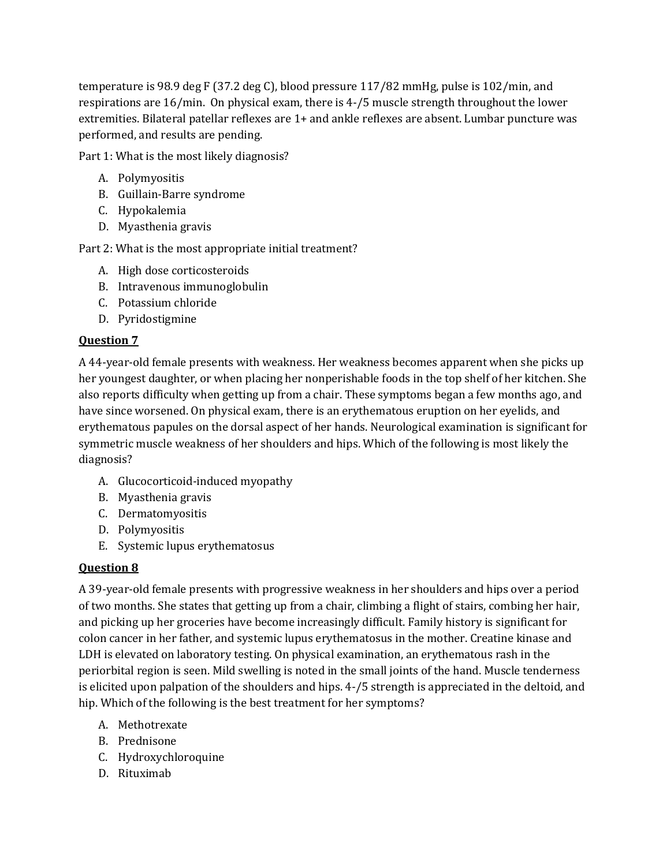temperature is 98.9 deg F (37.2 deg C), blood pressure 117/82 mmHg, pulse is 102/min, and respirations are 16/min. On physical exam, there is 4-/5 muscle strength throughout the lower extremities. Bilateral patellar reflexes are 1+ and ankle reflexes are absent. Lumbar puncture was performed, and results are pending.

Part 1: What is the most likely diagnosis?

- A. Polymyositis
- B. Guillain-Barre syndrome
- C. Hypokalemia
- D. Myasthenia gravis

Part 2: What is the most appropriate initial treatment?

- A. High dose corticosteroids
- B. Intravenous immunoglobulin
- C. Potassium chloride
- D. Pyridostigmine

## **Question 7**

A 44-year-old female presents with weakness. Her weakness becomes apparent when she picks up her youngest daughter, or when placing her nonperishable foods in the top shelf of her kitchen. She also reports difficulty when getting up from a chair. These symptoms began a few months ago, and have since worsened. On physical exam, there is an erythematous eruption on her eyelids, and erythematous papules on the dorsal aspect of her hands. Neurological examination is significant for symmetric muscle weakness of her shoulders and hips. Which of the following is most likely the diagnosis?

- A. Glucocorticoid-induced myopathy
- B. Myasthenia gravis
- C. Dermatomyositis
- D. Polymyositis
- E. Systemic lupus erythematosus

## **Question 8**

A 39-year-old female presents with progressive weakness in her shoulders and hips over a period of two months. She states that getting up from a chair, climbing a flight of stairs, combing her hair, and picking up her groceries have become increasingly difficult. Family history is significant for colon cancer in her father, and systemic lupus erythematosus in the mother. Creatine kinase and LDH is elevated on laboratory testing. On physical examination, an erythematous rash in the periorbital region is seen. Mild swelling is noted in the small joints of the hand. Muscle tenderness is elicited upon palpation of the shoulders and hips. 4-/5 strength is appreciated in the deltoid, and hip. Which of the following is the best treatment for her symptoms?

- A. Methotrexate
- B. Prednisone
- C. Hydroxychloroquine
- D. Rituximab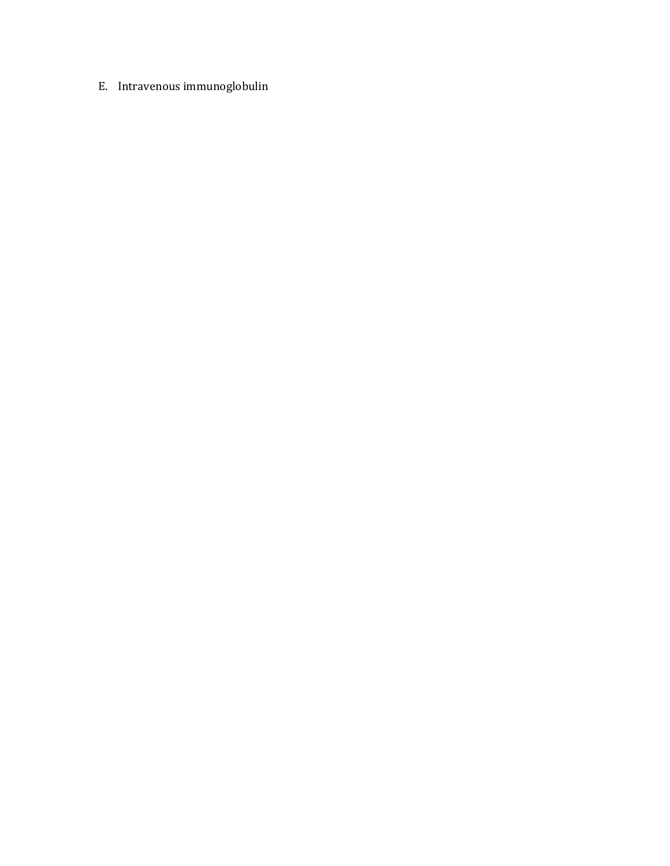E. Intravenous immunoglobulin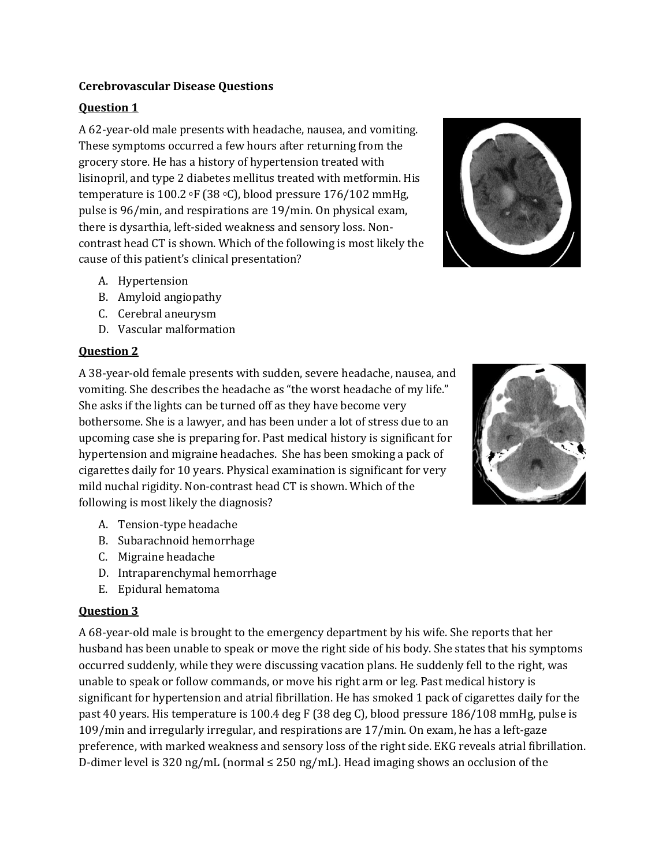#### **Cerebrovascular Disease Questions**

#### **Question 1**

A 62-year-old male presents with headache, nausea, and vomiting. These symptoms occurred a few hours after returning from the grocery store. He has a history of hypertension treated with lisinopril, and type 2 diabetes mellitus treated with metformin. His temperature is 100.2  $\textdegree$ F (38  $\textdegree$ C), blood pressure 176/102 mmHg, pulse is 96/min, and respirations are 19/min. On physical exam, there is dysarthia, left-sided weakness and sensory loss. Noncontrast head CT is shown. Which of the following is most likely the cause of this patient's clinical presentation?

- A. Hypertension
- B. Amyloid angiopathy
- C. Cerebral aneurysm
- D. Vascular malformation

#### **Question 2**

A 38-year-old female presents with sudden, severe headache, nausea, and vomiting. She describes the headache as "the worst headache of my life." She asks if the lights can be turned off as they have become very bothersome. She is a lawyer, and has been under a lot of stress due to an upcoming case she is preparing for. Past medical history is significant for hypertension and migraine headaches. She has been smoking a pack of cigarettes daily for 10 years. Physical examination is significant for very mild nuchal rigidity. Non-contrast head CT is shown. Which of the following is most likely the diagnosis?

- A. Tension-type headache
- B. Subarachnoid hemorrhage
- C. Migraine headache
- D. Intraparenchymal hemorrhage
- E. Epidural hematoma

#### **Question 3**

A 68-year-old male is brought to the emergency department by his wife. She reports that her husband has been unable to speak or move the right side of his body. She states that his symptoms occurred suddenly, while they were discussing vacation plans. He suddenly fell to the right, was unable to speak or follow commands, or move his right arm or leg. Past medical history is significant for hypertension and atrial fibrillation. He has smoked 1 pack of cigarettes daily for the past 40 years. His temperature is 100.4 deg F (38 deg C), blood pressure 186/108 mmHg, pulse is 109/min and irregularly irregular, and respirations are 17/min. On exam, he has a left-gaze preference, with marked weakness and sensory loss of the right side. EKG reveals atrial fibrillation. D-dimer level is 320 ng/mL (normal ≤ 250 ng/mL). Head imaging shows an occlusion of the



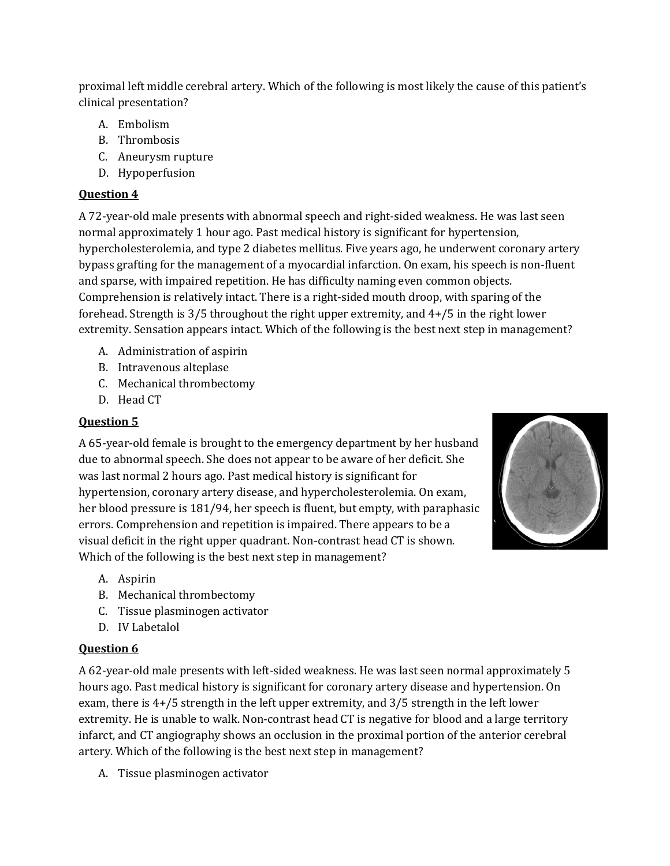proximal left middle cerebral artery. Which of the following is most likely the cause of this patient's clinical presentation?

- A. Embolism
- B. Thrombosis
- C. Aneurysm rupture
- D. Hypoperfusion

# **Question 4**

A 72-year-old male presents with abnormal speech and right-sided weakness. He was last seen normal approximately 1 hour ago. Past medical history is significant for hypertension, hypercholesterolemia, and type 2 diabetes mellitus. Five years ago, he underwent coronary artery bypass grafting for the management of a myocardial infarction. On exam, his speech is non-fluent and sparse, with impaired repetition. He has difficulty naming even common objects. Comprehension is relatively intact. There is a right-sided mouth droop, with sparing of the forehead. Strength is 3/5 throughout the right upper extremity, and 4+/5 in the right lower extremity. Sensation appears intact. Which of the following is the best next step in management?

- A. Administration of aspirin
- B. Intravenous alteplase
- C. Mechanical thrombectomy
- D. Head CT

# **Question 5**

A 65-year-old female is brought to the emergency department by her husband due to abnormal speech. She does not appear to be aware of her deficit. She was last normal 2 hours ago. Past medical history is significant for hypertension, coronary artery disease, and hypercholesterolemia. On exam, her blood pressure is 181/94, her speech is fluent, but empty, with paraphasic errors. Comprehension and repetition is impaired. There appears to be a visual deficit in the right upper quadrant. Non-contrast head CT is shown. Which of the following is the best next step in management?



- A. Aspirin
- B. Mechanical thrombectomy
- C. Tissue plasminogen activator
- D. IV Labetalol

# **Question 6**

A 62-year-old male presents with left-sided weakness. He was last seen normal approximately 5 hours ago. Past medical history is significant for coronary artery disease and hypertension. On exam, there is 4+/5 strength in the left upper extremity, and 3/5 strength in the left lower extremity. He is unable to walk. Non-contrast head CT is negative for blood and a large territory infarct, and CT angiography shows an occlusion in the proximal portion of the anterior cerebral artery. Which of the following is the best next step in management?

A. Tissue plasminogen activator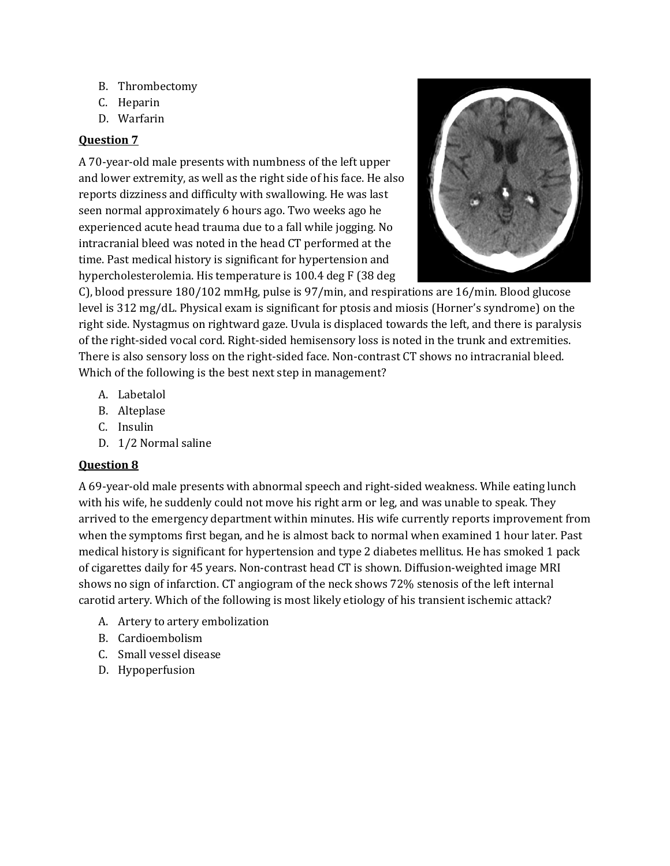- B. Thrombectomy
- C. Heparin
- D. Warfarin

#### **Question 7**

A 70-year-old male presents with numbness of the left upper and lower extremity, as well as the right side of his face. He also reports dizziness and difficulty with swallowing. He was last seen normal approximately 6 hours ago. Two weeks ago he experienced acute head trauma due to a fall while jogging. No intracranial bleed was noted in the head CT performed at the time. Past medical history is significant for hypertension and hypercholesterolemia. His temperature is 100.4 deg F (38 deg



C), blood pressure 180/102 mmHg, pulse is 97/min, and respirations are 16/min. Blood glucose level is 312 mg/dL. Physical exam is significant for ptosis and miosis (Horner's syndrome) on the right side. Nystagmus on rightward gaze. Uvula is displaced towards the left, and there is paralysis of the right-sided vocal cord. Right-sided hemisensory loss is noted in the trunk and extremities. There is also sensory loss on the right-sided face. Non-contrast CT shows no intracranial bleed. Which of the following is the best next step in management?

- A. Labetalol
- B. Alteplase
- C. Insulin
- D. 1/2 Normal saline

#### **Question 8**

A 69-year-old male presents with abnormal speech and right-sided weakness. While eating lunch with his wife, he suddenly could not move his right arm or leg, and was unable to speak. They arrived to the emergency department within minutes. His wife currently reports improvement from when the symptoms first began, and he is almost back to normal when examined 1 hour later. Past medical history is significant for hypertension and type 2 diabetes mellitus. He has smoked 1 pack of cigarettes daily for 45 years. Non-contrast head CT is shown. Diffusion-weighted image MRI shows no sign of infarction. CT angiogram of the neck shows 72% stenosis of the left internal carotid artery. Which of the following is most likely etiology of his transient ischemic attack?

- A. Artery to artery embolization
- B. Cardioembolism
- C. Small vessel disease
- D. Hypoperfusion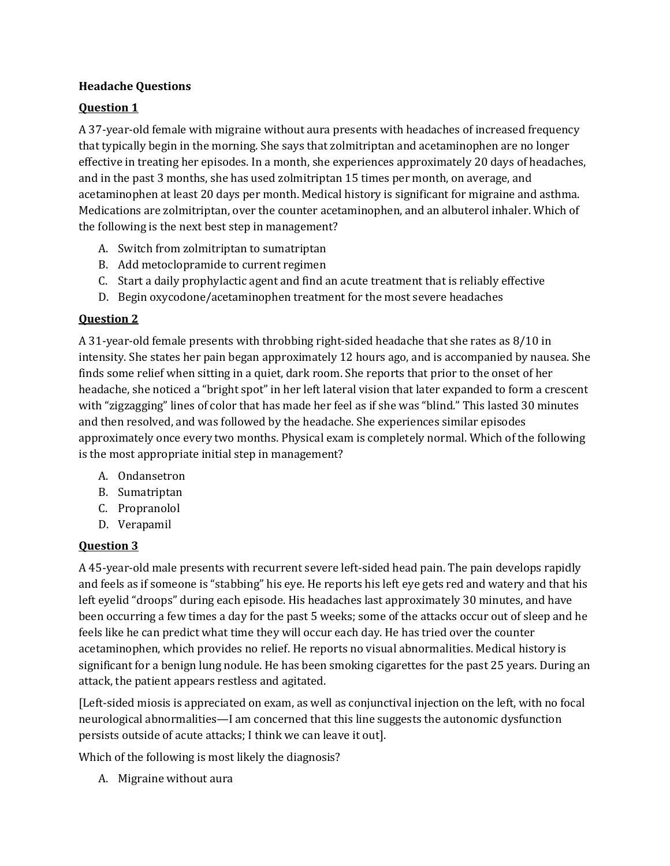#### **Headache Questions**

## **Question 1**

A 37-year-old female with migraine without aura presents with headaches of increased frequency that typically begin in the morning. She says that zolmitriptan and acetaminophen are no longer effective in treating her episodes. In a month, she experiences approximately 20 days of headaches, and in the past 3 months, she has used zolmitriptan 15 times per month, on average, and acetaminophen at least 20 days per month. Medical history is significant for migraine and asthma. Medications are zolmitriptan, over the counter acetaminophen, and an albuterol inhaler. Which of the following is the next best step in management?

- A. Switch from zolmitriptan to sumatriptan
- B. Add metoclopramide to current regimen
- C. Start a daily prophylactic agent and find an acute treatment that is reliably effective
- D. Begin oxycodone/acetaminophen treatment for the most severe headaches

## **Question 2**

A 31-year-old female presents with throbbing right-sided headache that she rates as 8/10 in intensity. She states her pain began approximately 12 hours ago, and is accompanied by nausea. She finds some relief when sitting in a quiet, dark room. She reports that prior to the onset of her headache, she noticed a "bright spot" in her left lateral vision that later expanded to form a crescent with "zigzagging" lines of color that has made her feel as if she was "blind." This lasted 30 minutes and then resolved, and was followed by the headache. She experiences similar episodes approximately once every two months. Physical exam is completely normal. Which of the following is the most appropriate initial step in management?

- A. Ondansetron
- B. Sumatriptan
- C. Propranolol
- D. Verapamil

## **Question 3**

A 45-year-old male presents with recurrent severe left-sided head pain. The pain develops rapidly and feels as if someone is "stabbing" his eye. He reports his left eye gets red and watery and that his left eyelid "droops" during each episode. His headaches last approximately 30 minutes, and have been occurring a few times a day for the past 5 weeks; some of the attacks occur out of sleep and he feels like he can predict what time they will occur each day. He has tried over the counter acetaminophen, which provides no relief. He reports no visual abnormalities. Medical history is significant for a benign lung nodule. He has been smoking cigarettes for the past 25 years. During an attack, the patient appears restless and agitated.

[Left-sided miosis is appreciated on exam, as well as conjunctival injection on the left, with no focal neurological abnormalities—I am concerned that this line suggests the autonomic dysfunction persists outside of acute attacks; I think we can leave it out].

Which of the following is most likely the diagnosis?

A. Migraine without aura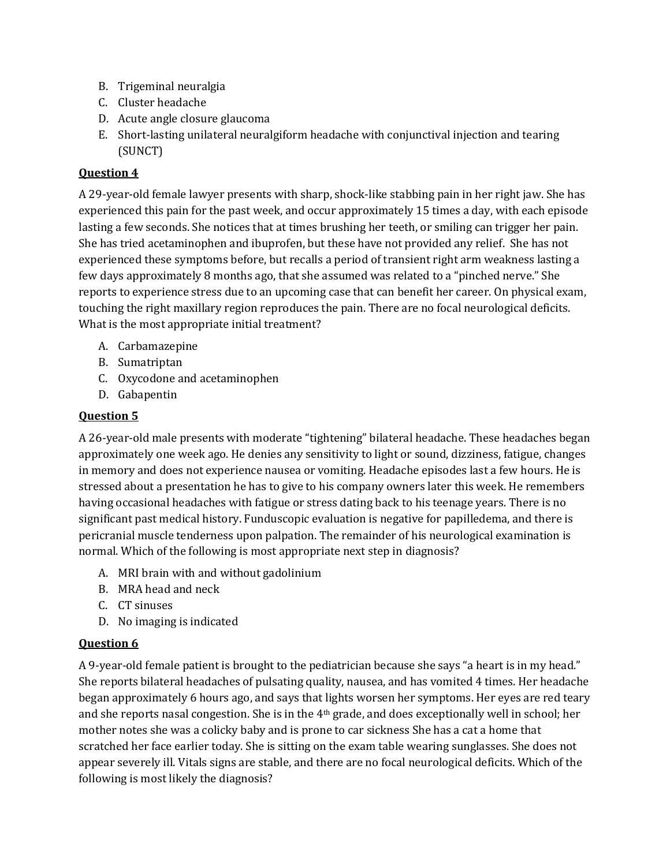- B. Trigeminal neuralgia
- C. Cluster headache
- D. Acute angle closure glaucoma
- E. Short-lasting unilateral neuralgiform headache with conjunctival injection and tearing (SUNCT)

## **Question 4**

A 29-year-old female lawyer presents with sharp, shock-like stabbing pain in her right jaw. She has experienced this pain for the past week, and occur approximately 15 times a day, with each episode lasting a few seconds. She notices that at times brushing her teeth, or smiling can trigger her pain. She has tried acetaminophen and ibuprofen, but these have not provided any relief. She has not experienced these symptoms before, but recalls a period of transient right arm weakness lasting a few days approximately 8 months ago, that she assumed was related to a "pinched nerve." She reports to experience stress due to an upcoming case that can benefit her career. On physical exam, touching the right maxillary region reproduces the pain. There are no focal neurological deficits. What is the most appropriate initial treatment?

- A. Carbamazepine
- B. Sumatriptan
- C. Oxycodone and acetaminophen
- D. Gabapentin

## **Question 5**

A 26-year-old male presents with moderate "tightening" bilateral headache. These headaches began approximately one week ago. He denies any sensitivity to light or sound, dizziness, fatigue, changes in memory and does not experience nausea or vomiting. Headache episodes last a few hours. He is stressed about a presentation he has to give to his company owners later this week. He remembers having occasional headaches with fatigue or stress dating back to his teenage years. There is no significant past medical history. Funduscopic evaluation is negative for papilledema, and there is pericranial muscle tenderness upon palpation. The remainder of his neurological examination is normal. Which of the following is most appropriate next step in diagnosis?

- A. MRI brain with and without gadolinium
- B. MRA head and neck
- C. CT sinuses
- D. No imaging is indicated

# **Question 6**

A 9-year-old female patient is brought to the pediatrician because she says "a heart is in my head." She reports bilateral headaches of pulsating quality, nausea, and has vomited 4 times. Her headache began approximately 6 hours ago, and says that lights worsen her symptoms. Her eyes are red teary and she reports nasal congestion. She is in the 4th grade, and does exceptionally well in school; her mother notes she was a colicky baby and is prone to car sickness She has a cat a home that scratched her face earlier today. She is sitting on the exam table wearing sunglasses. She does not appear severely ill. Vitals signs are stable, and there are no focal neurological deficits. Which of the following is most likely the diagnosis?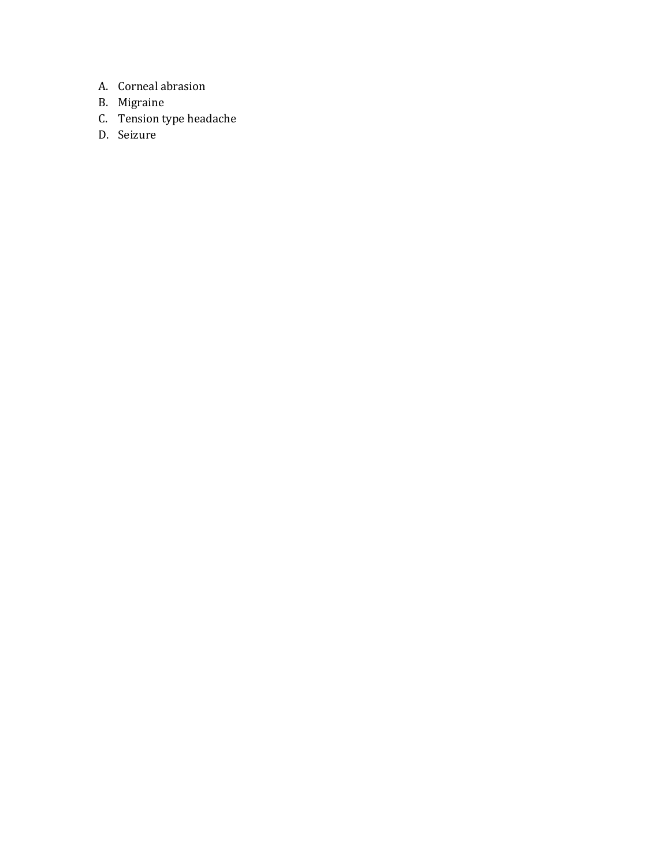- A. Corneal abrasion
- B. Migraine
- C. Tension type headache
- D. Seizure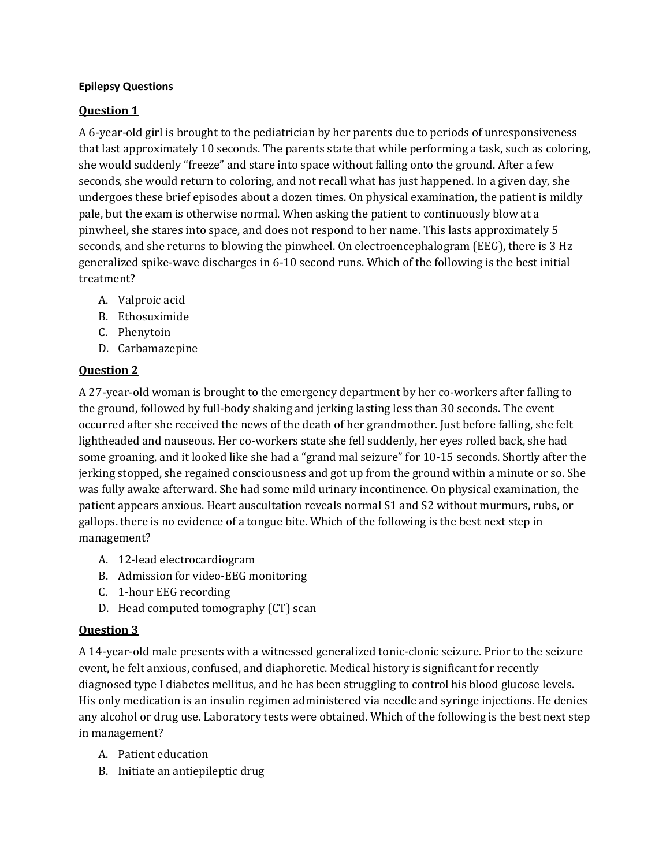#### **Epilepsy Questions**

## **Question 1**

A 6-year-old girl is brought to the pediatrician by her parents due to periods of unresponsiveness that last approximately 10 seconds. The parents state that while performing a task, such as coloring, she would suddenly "freeze" and stare into space without falling onto the ground. After a few seconds, she would return to coloring, and not recall what has just happened. In a given day, she undergoes these brief episodes about a dozen times. On physical examination, the patient is mildly pale, but the exam is otherwise normal. When asking the patient to continuously blow at a pinwheel, she stares into space, and does not respond to her name. This lasts approximately 5 seconds, and she returns to blowing the pinwheel. On electroencephalogram (EEG), there is 3 Hz generalized spike-wave discharges in 6-10 second runs. Which of the following is the best initial treatment?

- A. Valproic acid
- B. Ethosuximide
- C. Phenytoin
- D. Carbamazepine

## **Question 2**

A 27-year-old woman is brought to the emergency department by her co-workers after falling to the ground, followed by full-body shaking and jerking lasting less than 30 seconds. The event occurred after she received the news of the death of her grandmother. Just before falling, she felt lightheaded and nauseous. Her co-workers state she fell suddenly, her eyes rolled back, she had some groaning, and it looked like she had a "grand mal seizure" for 10-15 seconds. Shortly after the jerking stopped, she regained consciousness and got up from the ground within a minute or so. She was fully awake afterward. She had some mild urinary incontinence. On physical examination, the patient appears anxious. Heart auscultation reveals normal S1 and S2 without murmurs, rubs, or gallops. there is no evidence of a tongue bite. Which of the following is the best next step in management?

- A. 12-lead electrocardiogram
- B. Admission for video-EEG monitoring
- C. 1-hour EEG recording
- D. Head computed tomography (CT) scan

# **Question 3**

A 14-year-old male presents with a witnessed generalized tonic-clonic seizure. Prior to the seizure event, he felt anxious, confused, and diaphoretic. Medical history is significant for recently diagnosed type I diabetes mellitus, and he has been struggling to control his blood glucose levels. His only medication is an insulin regimen administered via needle and syringe injections. He denies any alcohol or drug use. Laboratory tests were obtained. Which of the following is the best next step in management?

- A. Patient education
- B. Initiate an antiepileptic drug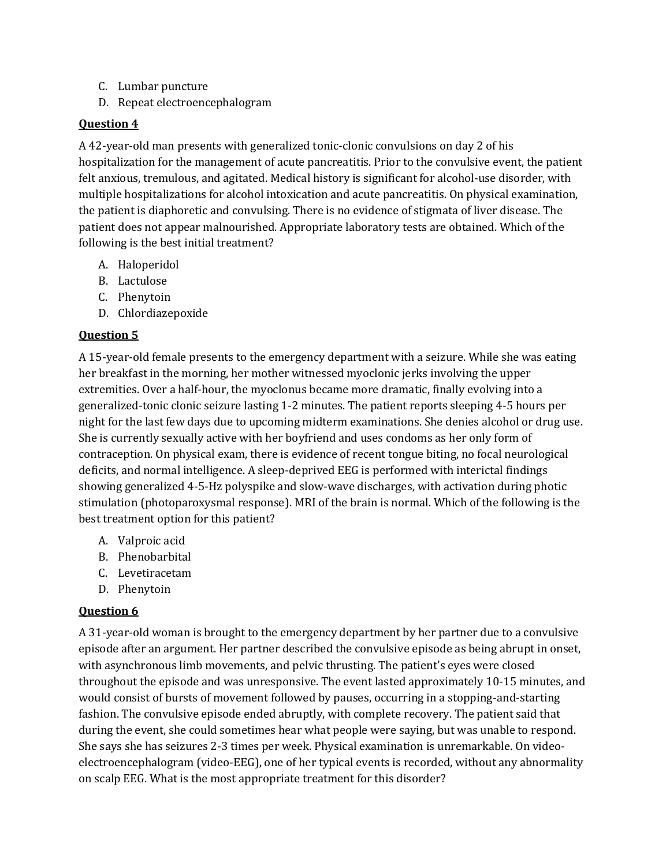- C. Lumbar puncture
- D. Repeat electroencephalogram

#### **Question 4**

A 42-year-old man presents with generalized tonic-clonic convulsions on day 2 of his hospitalization for the management of acute pancreatitis. Prior to the convulsive event, the patient felt anxious, tremulous, and agitated. Medical history is significant for alcohol-use disorder, with multiple hospitalizations for alcohol intoxication and acute pancreatitis. On physical examination, the patient is diaphoretic and convulsing. There is no evidence of stigmata of liver disease. The patient does not appear malnourished. Appropriate laboratory tests are obtained. Which of the following is the best initial treatment?

- A. Haloperidol
- B. Lactulose
- C. Phenytoin
- D. Chlordiazepoxide

## **Question 5**

A 15-year-old female presents to the emergency department with a seizure. While she was eating her breakfast in the morning, her mother witnessed myoclonic jerks involving the upper extremities. Over a half-hour, the myoclonus became more dramatic, finally evolving into a generalized-tonic clonic seizure lasting 1-2 minutes. The patient reports sleeping 4-5 hours per night for the last few days due to upcoming midterm examinations. She denies alcohol or drug use. She is currently sexually active with her boyfriend and uses condoms as her only form of contraception. On physical exam, there is evidence of recent tongue biting, no focal neurological deficits, and normal intelligence. A sleep-deprived EEG is performed with interictal findings showing generalized 4-5-Hz polyspike and slow-wave discharges, with activation during photic stimulation (photoparoxysmal response). MRI of the brain is normal. Which of the following is the best treatment option for this patient?

- A. Valproic acid
- B. Phenobarbital
- C. Levetiracetam
- D. Phenytoin

## **Question 6**

A 31-year-old woman is brought to the emergency department by her partner due to a convulsive episode after an argument. Her partner described the convulsive episode as being abrupt in onset, with asynchronous limb movements, and pelvic thrusting. The patient's eyes were closed throughout the episode and was unresponsive. The event lasted approximately 10-15 minutes, and would consist of bursts of movement followed by pauses, occurring in a stopping-and-starting fashion. The convulsive episode ended abruptly, with complete recovery. The patient said that during the event, she could sometimes hear what people were saying, but was unable to respond. She says she has seizures 2-3 times per week. Physical examination is unremarkable. On videoelectroencephalogram (video-EEG), one of her typical events is recorded, without any abnormality on scalp EEG. What is the most appropriate treatment for this disorder?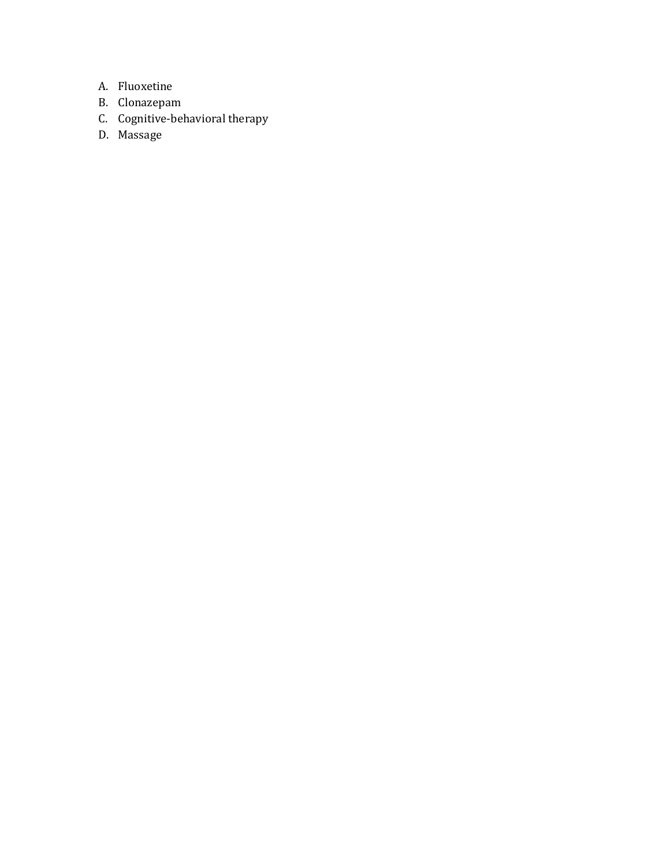- A. Fluoxetine
- B. Clonazepam
- C. Cognitive-behavioral therapy
- D. Massage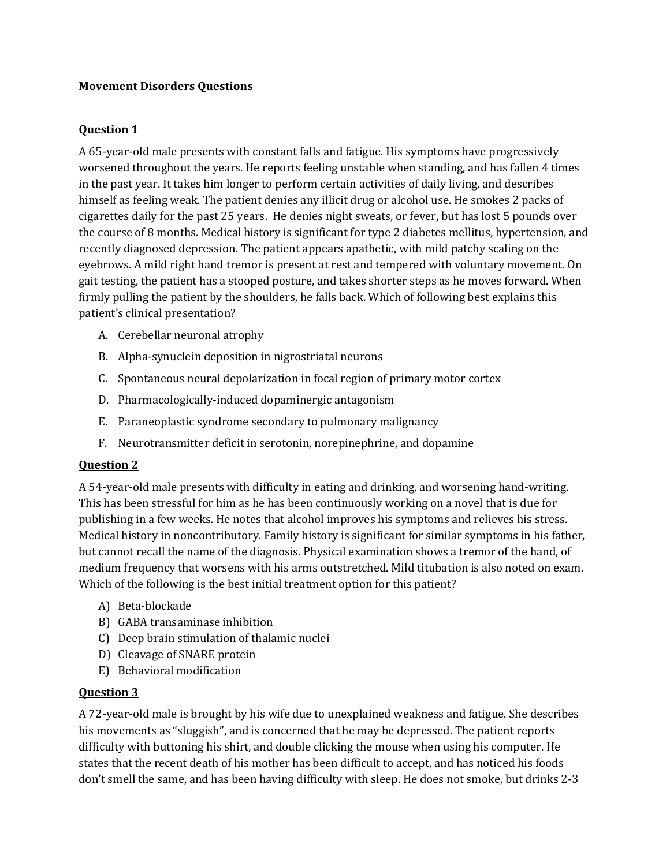#### **Movement Disorders Questions**

## **Question 1**

A 65-year-old male presents with constant falls and fatigue. His symptoms have progressively worsened throughout the years. He reports feeling unstable when standing, and has fallen 4 times in the past year. It takes him longer to perform certain activities of daily living, and describes himself as feeling weak. The patient denies any illicit drug or alcohol use. He smokes 2 packs of cigarettes daily for the past 25 years. He denies night sweats, or fever, but has lost 5 pounds over the course of 8 months. Medical history is significant for type 2 diabetes mellitus, hypertension, and recently diagnosed depression. The patient appears apathetic, with mild patchy scaling on the eyebrows. A mild right hand tremor is present at rest and tempered with voluntary movement. On gait testing, the patient has a stooped posture, and takes shorter steps as he moves forward. When firmly pulling the patient by the shoulders, he falls back. Which of following best explains this patient's clinical presentation?

- A. Cerebellar neuronal atrophy
- B. Alpha-synuclein deposition in nigrostriatal neurons
- C. Spontaneous neural depolarization in focal region of primary motor cortex
- D. Pharmacologically-induced dopaminergic antagonism
- E. Paraneoplastic syndrome secondary to pulmonary malignancy
- F. Neurotransmitter deficit in serotonin, norepinephrine, and dopamine

#### **Question 2**

A 54-year-old male presents with difficulty in eating and drinking, and worsening hand-writing. This has been stressful for him as he has been continuously working on a novel that is due for publishing in a few weeks. He notes that alcohol improves his symptoms and relieves his stress. Medical history in noncontributory. Family history is significant for similar symptoms in his father, but cannot recall the name of the diagnosis. Physical examination shows a tremor of the hand, of medium frequency that worsens with his arms outstretched. Mild titubation is also noted on exam. Which of the following is the best initial treatment option for this patient?

- A) Beta-blockade
- B) GABA transaminase inhibition
- C) Deep brain stimulation of thalamic nuclei
- D) Cleavage of SNARE protein
- E) Behavioral modification

#### **Question 3**

A 72-year-old male is brought by his wife due to unexplained weakness and fatigue. She describes his movements as "sluggish", and is concerned that he may be depressed. The patient reports difficulty with buttoning his shirt, and double clicking the mouse when using his computer. He states that the recent death of his mother has been difficult to accept, and has noticed his foods don't smell the same, and has been having difficulty with sleep. He does not smoke, but drinks 2-3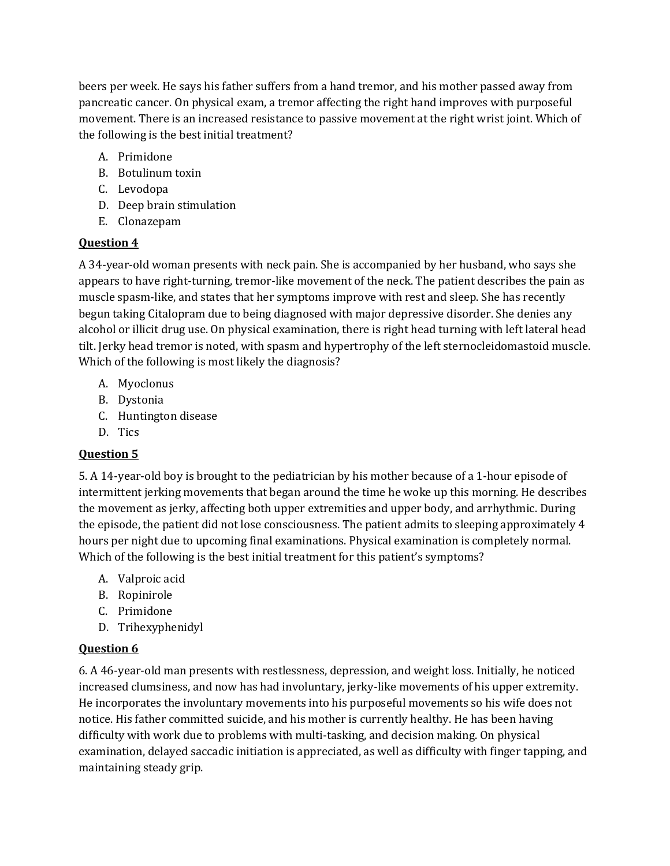beers per week. He says his father suffers from a hand tremor, and his mother passed away from pancreatic cancer. On physical exam, a tremor affecting the right hand improves with purposeful movement. There is an increased resistance to passive movement at the right wrist joint. Which of the following is the best initial treatment?

- A. Primidone
- B. Botulinum toxin
- C. Levodopa
- D. Deep brain stimulation
- E. Clonazepam

## **Question 4**

A 34-year-old woman presents with neck pain. She is accompanied by her husband, who says she appears to have right-turning, tremor-like movement of the neck. The patient describes the pain as muscle spasm-like, and states that her symptoms improve with rest and sleep. She has recently begun taking Citalopram due to being diagnosed with major depressive disorder. She denies any alcohol or illicit drug use. On physical examination, there is right head turning with left lateral head tilt. Jerky head tremor is noted, with spasm and hypertrophy of the left sternocleidomastoid muscle. Which of the following is most likely the diagnosis?

- A. Myoclonus
- B. Dystonia
- C. Huntington disease
- D. Tics

# **Question 5**

5. A 14-year-old boy is brought to the pediatrician by his mother because of a 1-hour episode of intermittent jerking movements that began around the time he woke up this morning. He describes the movement as jerky, affecting both upper extremities and upper body, and arrhythmic. During the episode, the patient did not lose consciousness. The patient admits to sleeping approximately 4 hours per night due to upcoming final examinations. Physical examination is completely normal. Which of the following is the best initial treatment for this patient's symptoms?

- A. Valproic acid
- B. Ropinirole
- C. Primidone
- D. Trihexyphenidyl

## **Question 6**

6. A 46-year-old man presents with restlessness, depression, and weight loss. Initially, he noticed increased clumsiness, and now has had involuntary, jerky-like movements of his upper extremity. He incorporates the involuntary movements into his purposeful movements so his wife does not notice. His father committed suicide, and his mother is currently healthy. He has been having difficulty with work due to problems with multi-tasking, and decision making. On physical examination, delayed saccadic initiation is appreciated, as well as difficulty with finger tapping, and maintaining steady grip.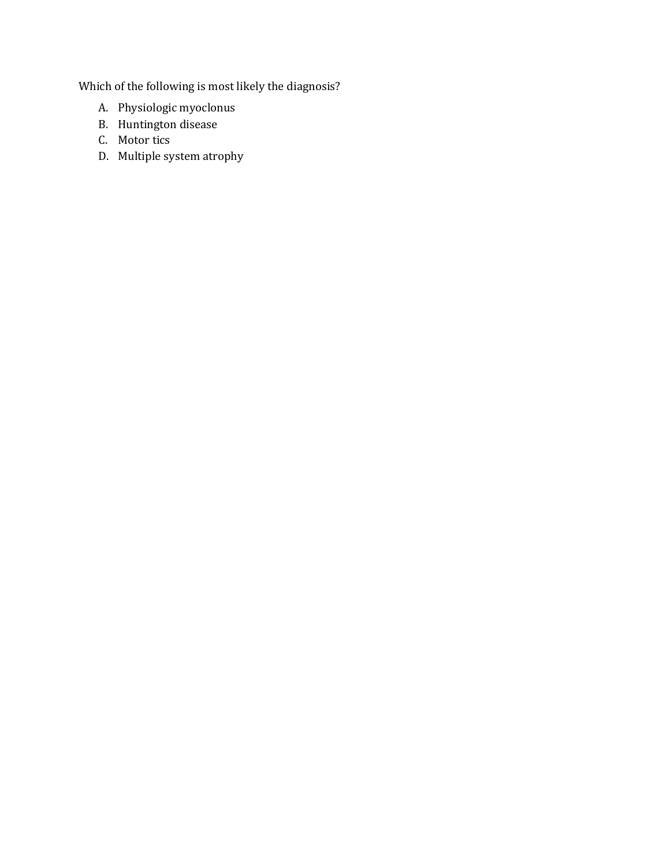Which of the following is most likely the diagnosis?

- A. Physiologic myoclonus
- B. Huntington disease
- C. Motor tics
- D. Multiple system atrophy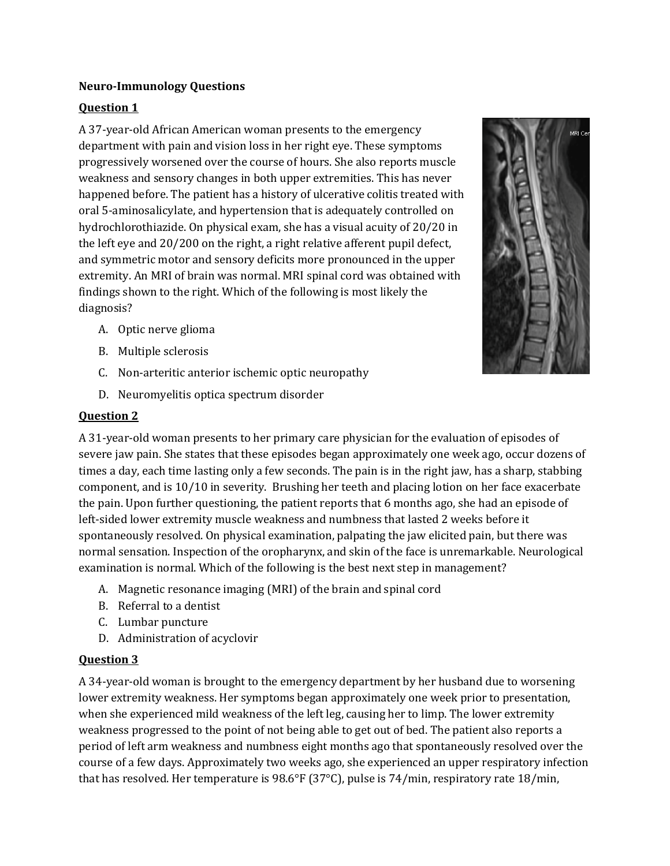#### **Neuro-Immunology Questions**

## **Question 1**

A 37-year-old African American woman presents to the emergency department with pain and vision loss in her right eye. These symptoms progressively worsened over the course of hours. She also reports muscle weakness and sensory changes in both upper extremities. This has never happened before. The patient has a history of ulcerative colitis treated with oral 5-aminosalicylate, and hypertension that is adequately controlled on hydrochlorothiazide. On physical exam, she has a visual acuity of 20/20 in the left eye and 20/200 on the right, a right relative afferent pupil defect, and symmetric motor and sensory deficits more pronounced in the upper extremity. An MRI of brain was normal. MRI spinal cord was obtained with findings shown to the right. Which of the following is most likely the diagnosis?



- B. Multiple sclerosis
- C. Non-arteritic anterior ischemic optic neuropathy
- D. Neuromyelitis optica spectrum disorder

#### **Question 2**

A 31-year-old woman presents to her primary care physician for the evaluation of episodes of severe jaw pain. She states that these episodes began approximately one week ago, occur dozens of times a day, each time lasting only a few seconds. The pain is in the right jaw, has a sharp, stabbing component, and is 10/10 in severity. Brushing her teeth and placing lotion on her face exacerbate the pain. Upon further questioning, the patient reports that 6 months ago, she had an episode of left-sided lower extremity muscle weakness and numbness that lasted 2 weeks before it spontaneously resolved. On physical examination, palpating the jaw elicited pain, but there was normal sensation. Inspection of the oropharynx, and skin of the face is unremarkable. Neurological examination is normal. Which of the following is the best next step in management?

- A. Magnetic resonance imaging (MRI) of the brain and spinal cord
- B. Referral to a dentist
- C. Lumbar puncture
- D. Administration of acyclovir

## **Question 3**

A 34-year-old woman is brought to the emergency department by her husband due to worsening lower extremity weakness. Her symptoms began approximately one week prior to presentation, when she experienced mild weakness of the left leg, causing her to limp. The lower extremity weakness progressed to the point of not being able to get out of bed. The patient also reports a period of left arm weakness and numbness eight months ago that spontaneously resolved over the course of a few days. Approximately two weeks ago, she experienced an upper respiratory infection that has resolved. Her temperature is 98.6°F (37°C), pulse is 74/min, respiratory rate 18/min,

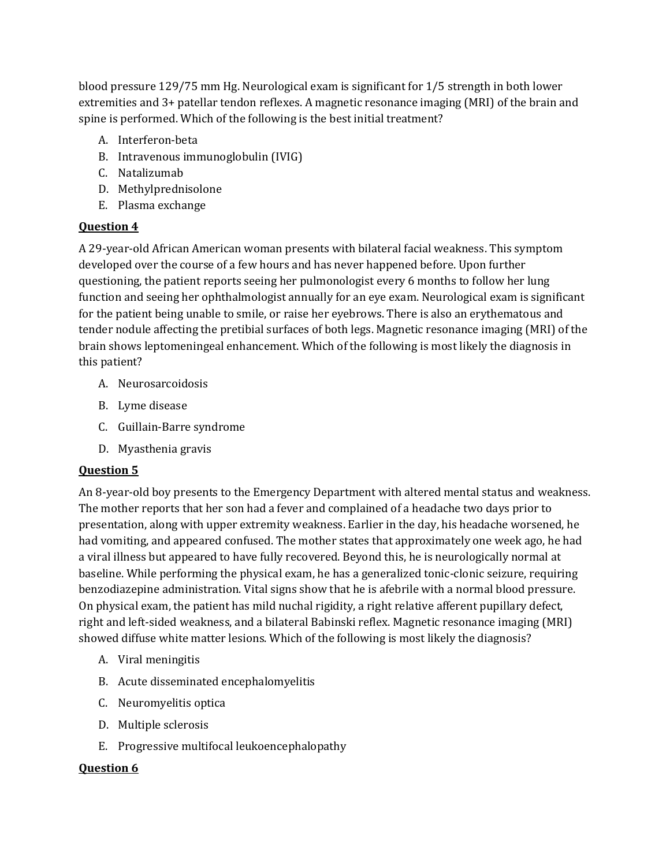blood pressure 129/75 mm Hg. Neurological exam is significant for 1/5 strength in both lower extremities and 3+ patellar tendon reflexes. A magnetic resonance imaging (MRI) of the brain and spine is performed. Which of the following is the best initial treatment?

- A. Interferon-beta
- B. Intravenous immunoglobulin (IVIG)
- C. Natalizumab
- D. Methylprednisolone
- E. Plasma exchange

## **Question 4**

A 29-year-old African American woman presents with bilateral facial weakness. This symptom developed over the course of a few hours and has never happened before. Upon further questioning, the patient reports seeing her pulmonologist every 6 months to follow her lung function and seeing her ophthalmologist annually for an eye exam. Neurological exam is significant for the patient being unable to smile, or raise her eyebrows. There is also an erythematous and tender nodule affecting the pretibial surfaces of both legs. Magnetic resonance imaging (MRI) of the brain shows leptomeningeal enhancement. Which of the following is most likely the diagnosis in this patient?

- A. Neurosarcoidosis
- B. Lyme disease
- C. Guillain-Barre syndrome
- D. Myasthenia gravis

## **Question 5**

An 8-year-old boy presents to the Emergency Department with altered mental status and weakness. The mother reports that her son had a fever and complained of a headache two days prior to presentation, along with upper extremity weakness. Earlier in the day, his headache worsened, he had vomiting, and appeared confused. The mother states that approximately one week ago, he had a viral illness but appeared to have fully recovered. Beyond this, he is neurologically normal at baseline. While performing the physical exam, he has a generalized tonic-clonic seizure, requiring benzodiazepine administration. Vital signs show that he is afebrile with a normal blood pressure. On physical exam, the patient has mild nuchal rigidity, a right relative afferent pupillary defect, right and left-sided weakness, and a bilateral Babinski reflex. Magnetic resonance imaging (MRI) showed diffuse white matter lesions. Which of the following is most likely the diagnosis?

- A. Viral meningitis
- B. Acute disseminated encephalomyelitis
- C. Neuromyelitis optica
- D. Multiple sclerosis
- E. Progressive multifocal leukoencephalopathy

## **Question 6**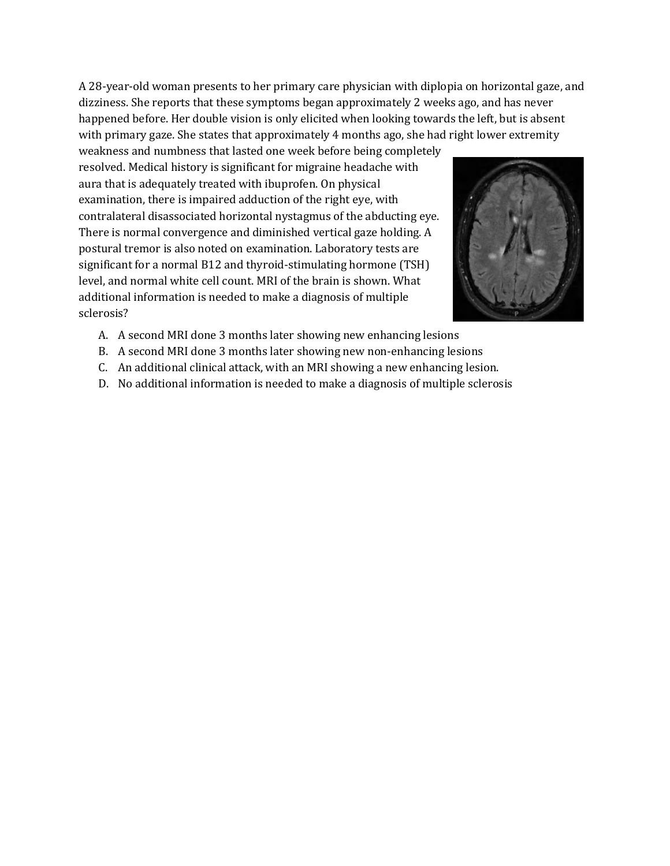A 28-year-old woman presents to her primary care physician with diplopia on horizontal gaze, and dizziness. She reports that these symptoms began approximately 2 weeks ago, and has never happened before. Her double vision is only elicited when looking towards the left, but is absent with primary gaze. She states that approximately 4 months ago, she had right lower extremity

weakness and numbness that lasted one week before being completely resolved. Medical history is significant for migraine headache with aura that is adequately treated with ibuprofen. On physical examination, there is impaired adduction of the right eye, with contralateral disassociated horizontal nystagmus of the abducting eye. There is normal convergence and diminished vertical gaze holding. A postural tremor is also noted on examination. Laboratory tests are significant for a normal B12 and thyroid-stimulating hormone (TSH) level, and normal white cell count. MRI of the brain is shown. What additional information is needed to make a diagnosis of multiple sclerosis?



- A. A second MRI done 3 months later showing new enhancing lesions
- B. A second MRI done 3 months later showing new non-enhancing lesions
- C. An additional clinical attack, with an MRI showing a new enhancing lesion.
- D. No additional information is needed to make a diagnosis of multiple sclerosis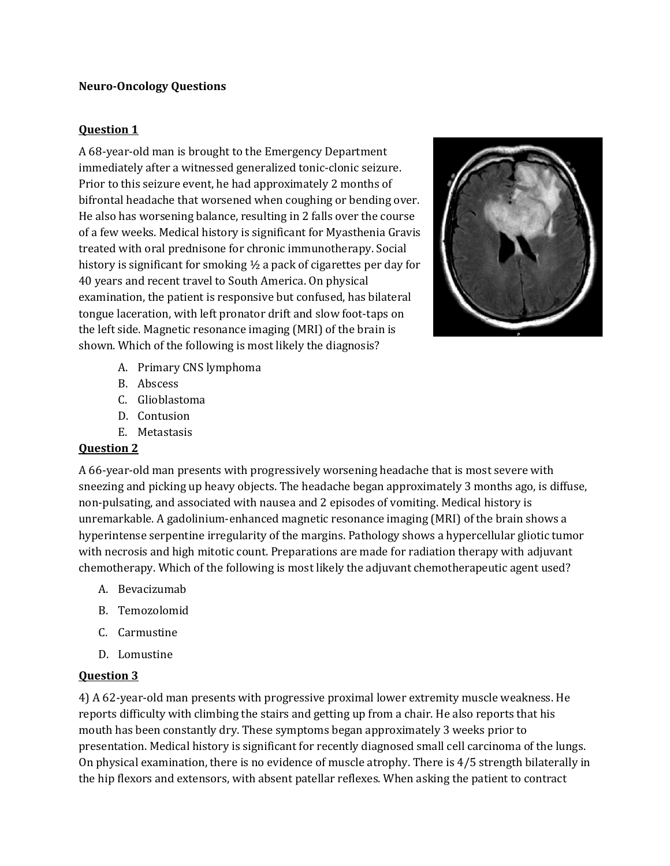#### **Neuro-Oncology Questions**

#### **Question 1**

A 68-year-old man is brought to the Emergency Department immediately after a witnessed generalized tonic-clonic seizure. Prior to this seizure event, he had approximately 2 months of bifrontal headache that worsened when coughing or bending over. He also has worsening balance, resulting in 2 falls over the course of a few weeks. Medical history is significant for Myasthenia Gravis treated with oral prednisone for chronic immunotherapy. Social history is significant for smoking ½ a pack of cigarettes per day for 40 years and recent travel to South America. On physical examination, the patient is responsive but confused, has bilateral tongue laceration, with left pronator drift and slow foot-taps on the left side. Magnetic resonance imaging (MRI) of the brain is shown. Which of the following is most likely the diagnosis?



- A. Primary CNS lymphoma
- B. Abscess
- C. Glioblastoma
- D. Contusion
- E. Metastasis

#### **Question 2**

A 66-year-old man presents with progressively worsening headache that is most severe with sneezing and picking up heavy objects. The headache began approximately 3 months ago, is diffuse, non-pulsating, and associated with nausea and 2 episodes of vomiting. Medical history is unremarkable. A gadolinium-enhanced magnetic resonance imaging (MRI) of the brain shows a hyperintense serpentine irregularity of the margins. Pathology shows a hypercellular gliotic tumor with necrosis and high mitotic count. Preparations are made for radiation therapy with adjuvant chemotherapy. Which of the following is most likely the adjuvant chemotherapeutic agent used?

- A. Bevacizumab
- B. Temozolomid
- C. Carmustine
- D. Lomustine

#### **Question 3**

4) A 62-year-old man presents with progressive proximal lower extremity muscle weakness. He reports difficulty with climbing the stairs and getting up from a chair. He also reports that his mouth has been constantly dry. These symptoms began approximately 3 weeks prior to presentation. Medical history is significant for recently diagnosed small cell carcinoma of the lungs. On physical examination, there is no evidence of muscle atrophy. There is 4/5 strength bilaterally in the hip flexors and extensors, with absent patellar reflexes. When asking the patient to contract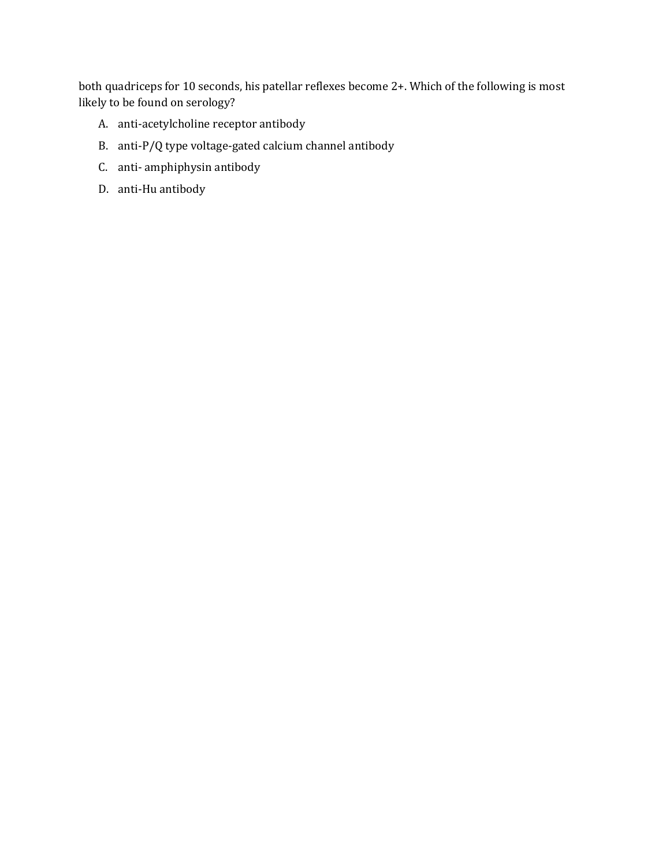both quadriceps for 10 seconds, his patellar reflexes become 2+. Which of the following is most likely to be found on serology?

- A. anti-acetylcholine receptor antibody
- B. anti-P/Q type voltage-gated calcium channel antibody
- C. anti- amphiphysin antibody
- D. anti-Hu antibody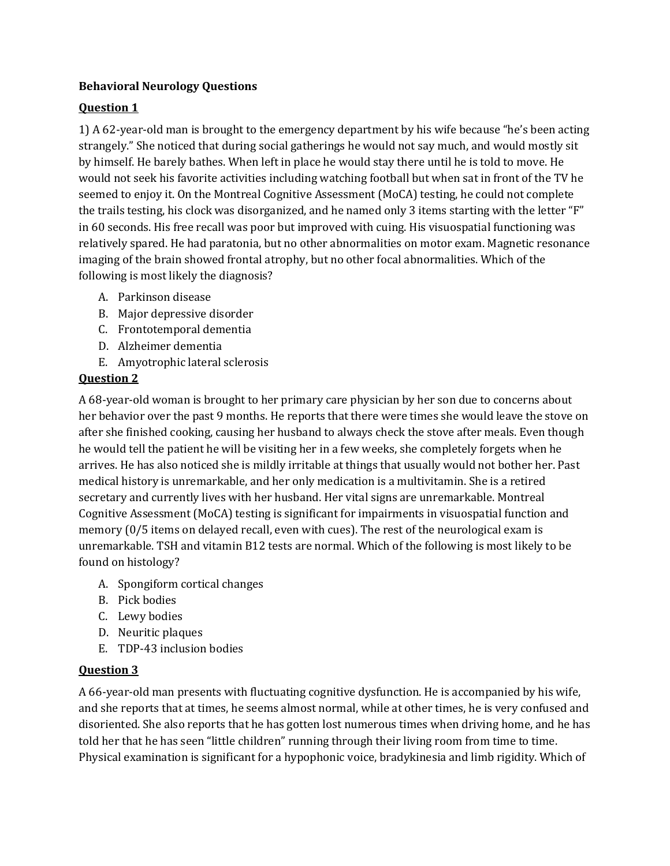## **Behavioral Neurology Questions**

## **Question 1**

1) A 62-year-old man is brought to the emergency department by his wife because "he's been acting strangely." She noticed that during social gatherings he would not say much, and would mostly sit by himself. He barely bathes. When left in place he would stay there until he is told to move. He would not seek his favorite activities including watching football but when sat in front of the TV he seemed to enjoy it. On the Montreal Cognitive Assessment (MoCA) testing, he could not complete the trails testing, his clock was disorganized, and he named only 3 items starting with the letter "F" in 60 seconds. His free recall was poor but improved with cuing. His visuospatial functioning was relatively spared. He had paratonia, but no other abnormalities on motor exam. Magnetic resonance imaging of the brain showed frontal atrophy, but no other focal abnormalities. Which of the following is most likely the diagnosis?

- A. Parkinson disease
- B. Major depressive disorder
- C. Frontotemporal dementia
- D. Alzheimer dementia
- E. Amyotrophic lateral sclerosis

## **Question 2**

A 68-year-old woman is brought to her primary care physician by her son due to concerns about her behavior over the past 9 months. He reports that there were times she would leave the stove on after she finished cooking, causing her husband to always check the stove after meals. Even though he would tell the patient he will be visiting her in a few weeks, she completely forgets when he arrives. He has also noticed she is mildly irritable at things that usually would not bother her. Past medical history is unremarkable, and her only medication is a multivitamin. She is a retired secretary and currently lives with her husband. Her vital signs are unremarkable. Montreal Cognitive Assessment (MoCA) testing is significant for impairments in visuospatial function and memory (0/5 items on delayed recall, even with cues). The rest of the neurological exam is unremarkable. TSH and vitamin B12 tests are normal. Which of the following is most likely to be found on histology?

- A. Spongiform cortical changes
- B. Pick bodies
- C. Lewy bodies
- D. Neuritic plaques
- E. TDP-43 inclusion bodies

## **Question 3**

A 66-year-old man presents with fluctuating cognitive dysfunction. He is accompanied by his wife, and she reports that at times, he seems almost normal, while at other times, he is very confused and disoriented. She also reports that he has gotten lost numerous times when driving home, and he has told her that he has seen "little children" running through their living room from time to time. Physical examination is significant for a hypophonic voice, bradykinesia and limb rigidity. Which of